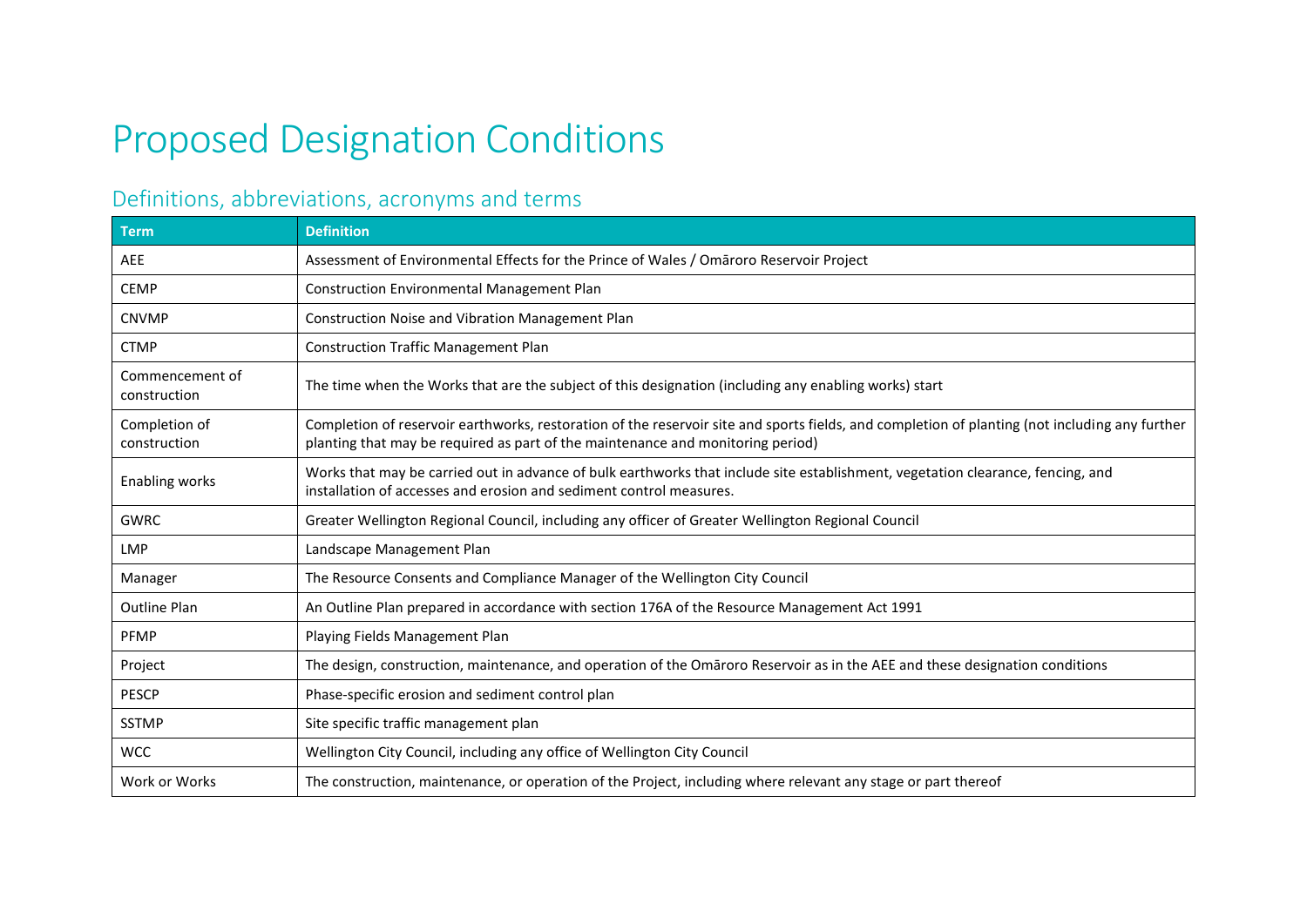## Proposed Designation Conditions

## Definitions, abbreviations, acronyms and terms

| <b>Term</b>                     | <b>Definition</b>                                                                                                                                                                                                                 |
|---------------------------------|-----------------------------------------------------------------------------------------------------------------------------------------------------------------------------------------------------------------------------------|
| <b>AEE</b>                      | Assessment of Environmental Effects for the Prince of Wales / Omaroro Reservoir Project                                                                                                                                           |
| <b>CEMP</b>                     | Construction Environmental Management Plan                                                                                                                                                                                        |
| <b>CNVMP</b>                    | Construction Noise and Vibration Management Plan                                                                                                                                                                                  |
| <b>CTMP</b>                     | <b>Construction Traffic Management Plan</b>                                                                                                                                                                                       |
| Commencement of<br>construction | The time when the Works that are the subject of this designation (including any enabling works) start                                                                                                                             |
| Completion of<br>construction   | Completion of reservoir earthworks, restoration of the reservoir site and sports fields, and completion of planting (not including any further<br>planting that may be required as part of the maintenance and monitoring period) |
| <b>Enabling works</b>           | Works that may be carried out in advance of bulk earthworks that include site establishment, vegetation clearance, fencing, and<br>installation of accesses and erosion and sediment control measures.                            |
| <b>GWRC</b>                     | Greater Wellington Regional Council, including any officer of Greater Wellington Regional Council                                                                                                                                 |
| <b>LMP</b>                      | Landscape Management Plan                                                                                                                                                                                                         |
| Manager                         | The Resource Consents and Compliance Manager of the Wellington City Council                                                                                                                                                       |
| <b>Outline Plan</b>             | An Outline Plan prepared in accordance with section 176A of the Resource Management Act 1991                                                                                                                                      |
| <b>PFMP</b>                     | Playing Fields Management Plan                                                                                                                                                                                                    |
| Project                         | The design, construction, maintenance, and operation of the Omaroro Reservoir as in the AEE and these designation conditions                                                                                                      |
| <b>PESCP</b>                    | Phase-specific erosion and sediment control plan                                                                                                                                                                                  |
| <b>SSTMP</b>                    | Site specific traffic management plan                                                                                                                                                                                             |
| <b>WCC</b>                      | Wellington City Council, including any office of Wellington City Council                                                                                                                                                          |
| Work or Works                   | The construction, maintenance, or operation of the Project, including where relevant any stage or part thereof                                                                                                                    |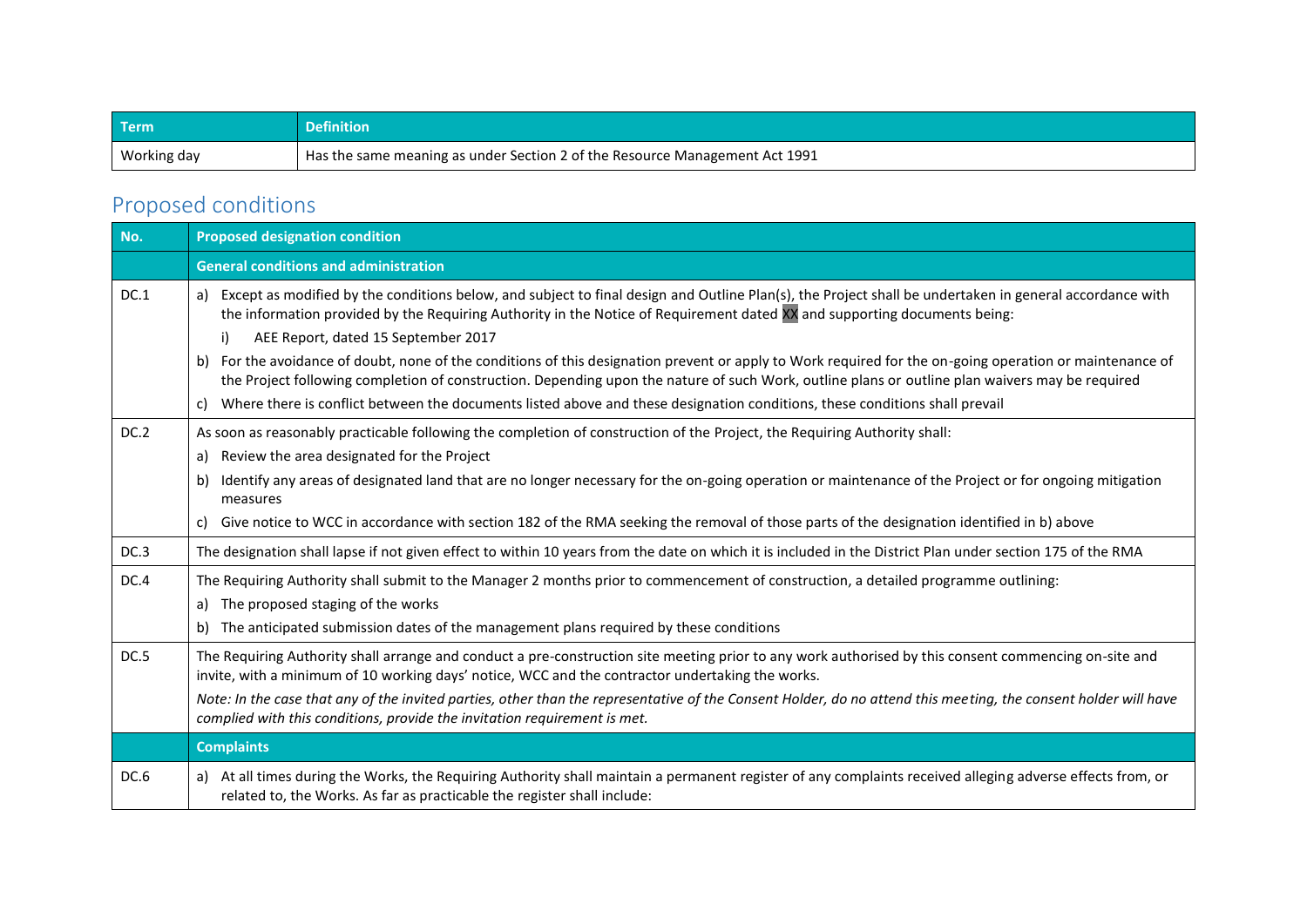| <b>Term</b> | Definition                                                                  |
|-------------|-----------------------------------------------------------------------------|
| Working day | Has the same meaning as under Section 2 of the Resource Management Act 1991 |

## Proposed conditions

| No.  | <b>Proposed designation condition</b>                                                                                                                                                                                                                                                                                                                                                                                                                                                               |  |  |  |  |  |
|------|-----------------------------------------------------------------------------------------------------------------------------------------------------------------------------------------------------------------------------------------------------------------------------------------------------------------------------------------------------------------------------------------------------------------------------------------------------------------------------------------------------|--|--|--|--|--|
|      | <b>General conditions and administration</b>                                                                                                                                                                                                                                                                                                                                                                                                                                                        |  |  |  |  |  |
| DC.1 | a) Except as modified by the conditions below, and subject to final design and Outline Plan(s), the Project shall be undertaken in general accordance with<br>the information provided by the Requiring Authority in the Notice of Requirement dated XX and supporting documents being:<br>AEE Report, dated 15 September 2017<br>i)<br>For the avoidance of doubt, none of the conditions of this designation prevent or apply to Work required for the on-going operation or maintenance of<br>b) |  |  |  |  |  |
|      | the Project following completion of construction. Depending upon the nature of such Work, outline plans or outline plan waivers may be required                                                                                                                                                                                                                                                                                                                                                     |  |  |  |  |  |
|      | Where there is conflict between the documents listed above and these designation conditions, these conditions shall prevail<br>C)                                                                                                                                                                                                                                                                                                                                                                   |  |  |  |  |  |
| DC.2 | As soon as reasonably practicable following the completion of construction of the Project, the Requiring Authority shall:<br>Review the area designated for the Project<br>a)                                                                                                                                                                                                                                                                                                                       |  |  |  |  |  |
|      | Identify any areas of designated land that are no longer necessary for the on-going operation or maintenance of the Project or for ongoing mitigation<br>b)<br>measures                                                                                                                                                                                                                                                                                                                             |  |  |  |  |  |
|      | Give notice to WCC in accordance with section 182 of the RMA seeking the removal of those parts of the designation identified in b) above<br>C)                                                                                                                                                                                                                                                                                                                                                     |  |  |  |  |  |
| DC.3 | The designation shall lapse if not given effect to within 10 years from the date on which it is included in the District Plan under section 175 of the RMA                                                                                                                                                                                                                                                                                                                                          |  |  |  |  |  |
| DC.4 | The Requiring Authority shall submit to the Manager 2 months prior to commencement of construction, a detailed programme outlining:<br>a) The proposed staging of the works                                                                                                                                                                                                                                                                                                                         |  |  |  |  |  |
|      | The anticipated submission dates of the management plans required by these conditions<br>b)                                                                                                                                                                                                                                                                                                                                                                                                         |  |  |  |  |  |
| DC.5 | The Requiring Authority shall arrange and conduct a pre-construction site meeting prior to any work authorised by this consent commencing on-site and<br>invite, with a minimum of 10 working days' notice, WCC and the contractor undertaking the works.                                                                                                                                                                                                                                           |  |  |  |  |  |
|      | Note: In the case that any of the invited parties, other than the representative of the Consent Holder, do no attend this meeting, the consent holder will have<br>complied with this conditions, provide the invitation requirement is met.                                                                                                                                                                                                                                                        |  |  |  |  |  |
|      | <b>Complaints</b>                                                                                                                                                                                                                                                                                                                                                                                                                                                                                   |  |  |  |  |  |
| DC.6 | a) At all times during the Works, the Requiring Authority shall maintain a permanent register of any complaints received alleging adverse effects from, or<br>related to, the Works. As far as practicable the register shall include:                                                                                                                                                                                                                                                              |  |  |  |  |  |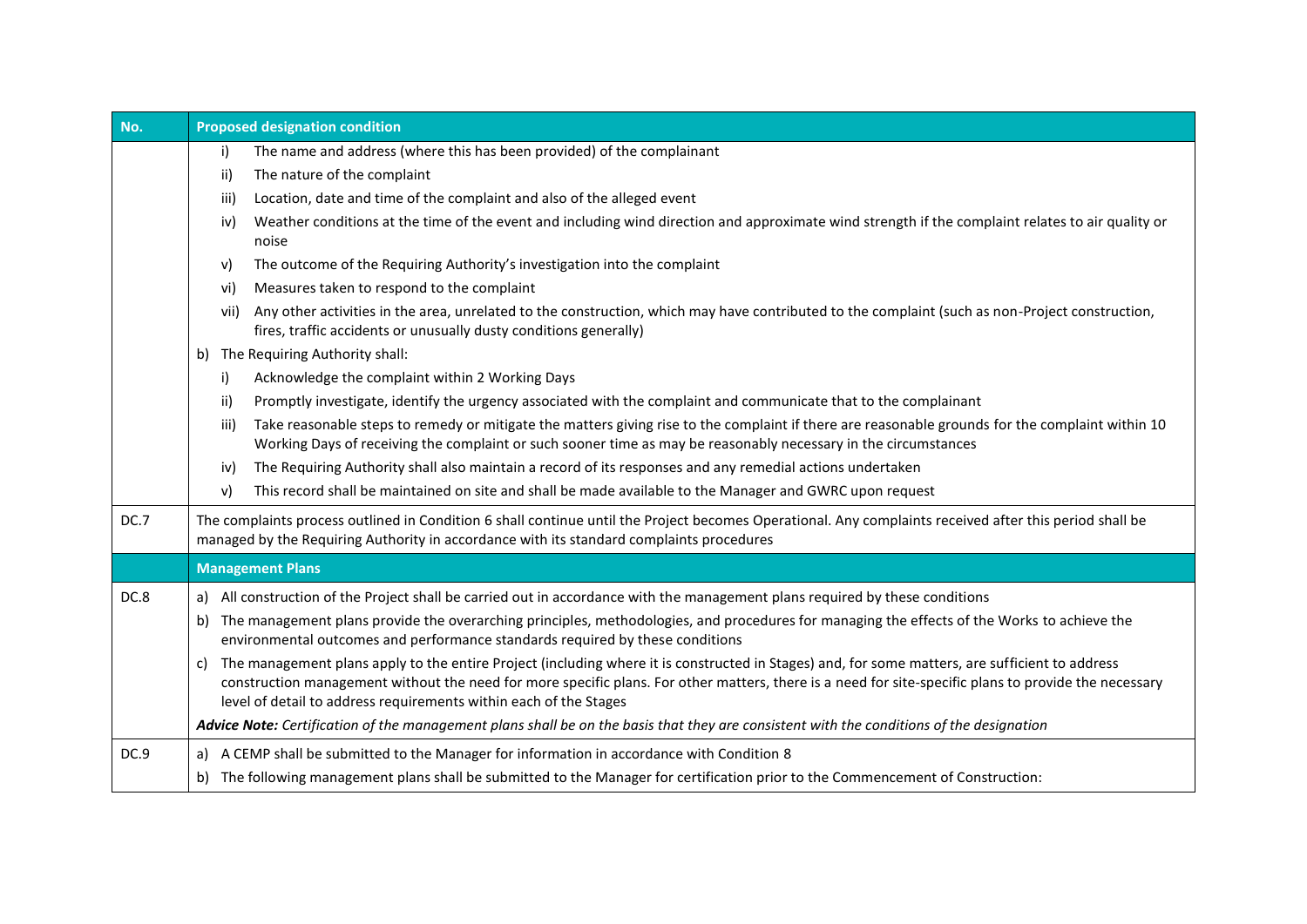| No.  | <b>Proposed designation condition</b>                                                                                                                                                                                                                                                                                                                                               |  |  |  |  |  |
|------|-------------------------------------------------------------------------------------------------------------------------------------------------------------------------------------------------------------------------------------------------------------------------------------------------------------------------------------------------------------------------------------|--|--|--|--|--|
|      | The name and address (where this has been provided) of the complainant<br>i)                                                                                                                                                                                                                                                                                                        |  |  |  |  |  |
|      | The nature of the complaint<br>ii)                                                                                                                                                                                                                                                                                                                                                  |  |  |  |  |  |
|      | Location, date and time of the complaint and also of the alleged event<br>iii)                                                                                                                                                                                                                                                                                                      |  |  |  |  |  |
|      | Weather conditions at the time of the event and including wind direction and approximate wind strength if the complaint relates to air quality or<br>iv)<br>noise                                                                                                                                                                                                                   |  |  |  |  |  |
|      | The outcome of the Requiring Authority's investigation into the complaint<br>V)                                                                                                                                                                                                                                                                                                     |  |  |  |  |  |
|      | Measures taken to respond to the complaint<br>vi)                                                                                                                                                                                                                                                                                                                                   |  |  |  |  |  |
|      | Any other activities in the area, unrelated to the construction, which may have contributed to the complaint (such as non-Project construction,<br>vii)<br>fires, traffic accidents or unusually dusty conditions generally)                                                                                                                                                        |  |  |  |  |  |
|      | b) The Requiring Authority shall:                                                                                                                                                                                                                                                                                                                                                   |  |  |  |  |  |
|      | Acknowledge the complaint within 2 Working Days<br>i)                                                                                                                                                                                                                                                                                                                               |  |  |  |  |  |
|      | Promptly investigate, identify the urgency associated with the complaint and communicate that to the complainant<br>ii)                                                                                                                                                                                                                                                             |  |  |  |  |  |
|      | Take reasonable steps to remedy or mitigate the matters giving rise to the complaint if there are reasonable grounds for the complaint within 10<br>iii)<br>Working Days of receiving the complaint or such sooner time as may be reasonably necessary in the circumstances                                                                                                         |  |  |  |  |  |
|      | The Requiring Authority shall also maintain a record of its responses and any remedial actions undertaken<br>iv)                                                                                                                                                                                                                                                                    |  |  |  |  |  |
|      | This record shall be maintained on site and shall be made available to the Manager and GWRC upon request<br>v)                                                                                                                                                                                                                                                                      |  |  |  |  |  |
| DC.7 | The complaints process outlined in Condition 6 shall continue until the Project becomes Operational. Any complaints received after this period shall be<br>managed by the Requiring Authority in accordance with its standard complaints procedures                                                                                                                                 |  |  |  |  |  |
|      | <b>Management Plans</b>                                                                                                                                                                                                                                                                                                                                                             |  |  |  |  |  |
| DC.8 | a) All construction of the Project shall be carried out in accordance with the management plans required by these conditions                                                                                                                                                                                                                                                        |  |  |  |  |  |
|      | The management plans provide the overarching principles, methodologies, and procedures for managing the effects of the Works to achieve the<br>b)<br>environmental outcomes and performance standards required by these conditions                                                                                                                                                  |  |  |  |  |  |
|      | The management plans apply to the entire Project (including where it is constructed in Stages) and, for some matters, are sufficient to address<br>C)<br>construction management without the need for more specific plans. For other matters, there is a need for site-specific plans to provide the necessary<br>level of detail to address requirements within each of the Stages |  |  |  |  |  |
|      | Advice Note: Certification of the management plans shall be on the basis that they are consistent with the conditions of the designation                                                                                                                                                                                                                                            |  |  |  |  |  |
| DC.9 | A CEMP shall be submitted to the Manager for information in accordance with Condition 8<br>a)                                                                                                                                                                                                                                                                                       |  |  |  |  |  |
|      | The following management plans shall be submitted to the Manager for certification prior to the Commencement of Construction:<br>b)                                                                                                                                                                                                                                                 |  |  |  |  |  |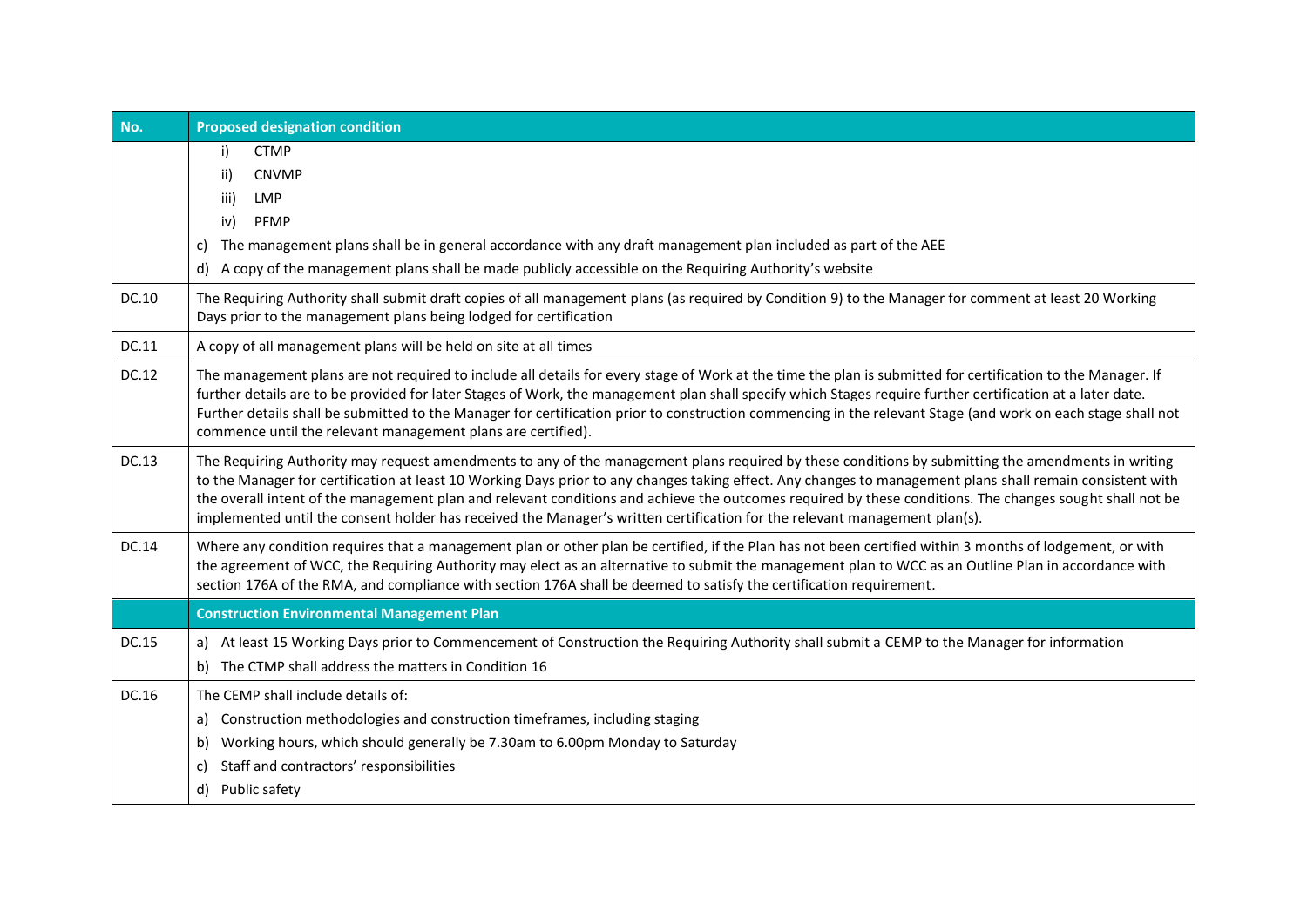| No.   | <b>Proposed designation condition</b>                                                                                                                                                                                                                                                                                                                                                                                                                                                                                                                                                                      |  |  |  |  |
|-------|------------------------------------------------------------------------------------------------------------------------------------------------------------------------------------------------------------------------------------------------------------------------------------------------------------------------------------------------------------------------------------------------------------------------------------------------------------------------------------------------------------------------------------------------------------------------------------------------------------|--|--|--|--|
|       | <b>CTMP</b><br>i)<br>ii)<br><b>CNVMP</b><br><b>LMP</b><br>iii)<br>PFMP<br>iv)                                                                                                                                                                                                                                                                                                                                                                                                                                                                                                                              |  |  |  |  |
|       | The management plans shall be in general accordance with any draft management plan included as part of the AEE<br>C)                                                                                                                                                                                                                                                                                                                                                                                                                                                                                       |  |  |  |  |
|       | A copy of the management plans shall be made publicly accessible on the Requiring Authority's website<br>d)                                                                                                                                                                                                                                                                                                                                                                                                                                                                                                |  |  |  |  |
| DC.10 | The Requiring Authority shall submit draft copies of all management plans (as required by Condition 9) to the Manager for comment at least 20 Working<br>Days prior to the management plans being lodged for certification                                                                                                                                                                                                                                                                                                                                                                                 |  |  |  |  |
| DC.11 | A copy of all management plans will be held on site at all times                                                                                                                                                                                                                                                                                                                                                                                                                                                                                                                                           |  |  |  |  |
| DC.12 | The management plans are not required to include all details for every stage of Work at the time the plan is submitted for certification to the Manager. If<br>further details are to be provided for later Stages of Work, the management plan shall specify which Stages require further certification at a later date.<br>Further details shall be submitted to the Manager for certification prior to construction commencing in the relevant Stage (and work on each stage shall not<br>commence until the relevant management plans are certified).                                                  |  |  |  |  |
| DC.13 | The Requiring Authority may request amendments to any of the management plans required by these conditions by submitting the amendments in writing<br>to the Manager for certification at least 10 Working Days prior to any changes taking effect. Any changes to management plans shall remain consistent with<br>the overall intent of the management plan and relevant conditions and achieve the outcomes required by these conditions. The changes sought shall not be<br>implemented until the consent holder has received the Manager's written certification for the relevant management plan(s). |  |  |  |  |
| DC.14 | Where any condition requires that a management plan or other plan be certified, if the Plan has not been certified within 3 months of lodgement, or with<br>the agreement of WCC, the Requiring Authority may elect as an alternative to submit the management plan to WCC as an Outline Plan in accordance with<br>section 176A of the RMA, and compliance with section 176A shall be deemed to satisfy the certification requirement.                                                                                                                                                                    |  |  |  |  |
|       | <b>Construction Environmental Management Plan</b>                                                                                                                                                                                                                                                                                                                                                                                                                                                                                                                                                          |  |  |  |  |
| DC.15 | a) At least 15 Working Days prior to Commencement of Construction the Requiring Authority shall submit a CEMP to the Manager for information<br>b) The CTMP shall address the matters in Condition 16                                                                                                                                                                                                                                                                                                                                                                                                      |  |  |  |  |
| DC.16 | The CEMP shall include details of:<br>Construction methodologies and construction timeframes, including staging<br>a)<br>Working hours, which should generally be 7.30am to 6.00pm Monday to Saturday<br>b)<br>Staff and contractors' responsibilities<br>C)<br>Public safety<br>d)                                                                                                                                                                                                                                                                                                                        |  |  |  |  |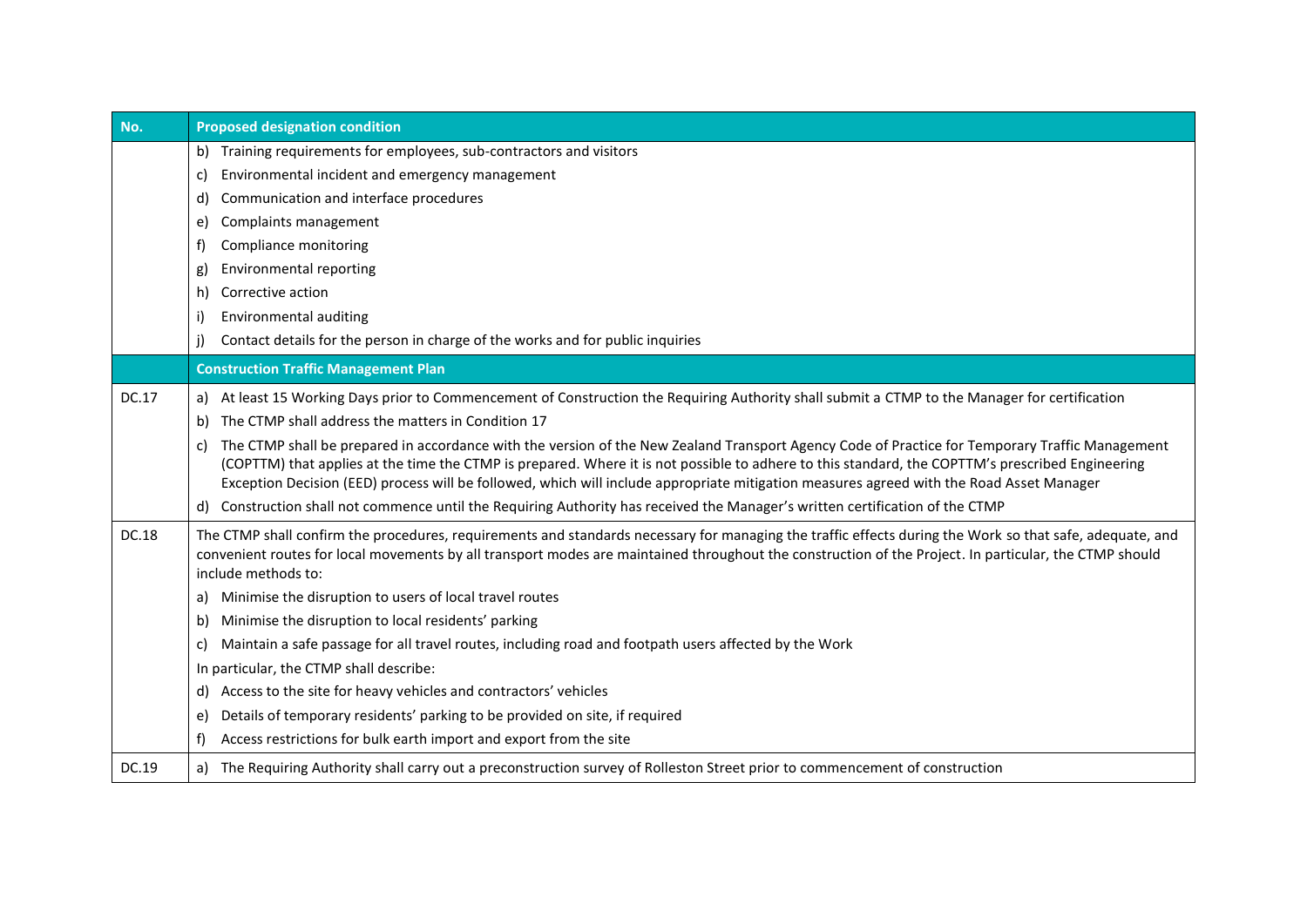| No.   | <b>Proposed designation condition</b>                                                                                                                                                                                                                                                                                                                                                                                                                                                                                   |  |  |  |  |  |  |
|-------|-------------------------------------------------------------------------------------------------------------------------------------------------------------------------------------------------------------------------------------------------------------------------------------------------------------------------------------------------------------------------------------------------------------------------------------------------------------------------------------------------------------------------|--|--|--|--|--|--|
|       | b) Training requirements for employees, sub-contractors and visitors<br>Environmental incident and emergency management<br>C)                                                                                                                                                                                                                                                                                                                                                                                           |  |  |  |  |  |  |
|       | Communication and interface procedures<br>d)                                                                                                                                                                                                                                                                                                                                                                                                                                                                            |  |  |  |  |  |  |
|       | Complaints management<br>e)                                                                                                                                                                                                                                                                                                                                                                                                                                                                                             |  |  |  |  |  |  |
|       | Compliance monitoring<br>f)                                                                                                                                                                                                                                                                                                                                                                                                                                                                                             |  |  |  |  |  |  |
|       | <b>Environmental reporting</b><br>g)                                                                                                                                                                                                                                                                                                                                                                                                                                                                                    |  |  |  |  |  |  |
|       | Corrective action<br>h)                                                                                                                                                                                                                                                                                                                                                                                                                                                                                                 |  |  |  |  |  |  |
|       | Environmental auditing<br>i)                                                                                                                                                                                                                                                                                                                                                                                                                                                                                            |  |  |  |  |  |  |
|       | Contact details for the person in charge of the works and for public inquiries<br>i)                                                                                                                                                                                                                                                                                                                                                                                                                                    |  |  |  |  |  |  |
|       | <b>Construction Traffic Management Plan</b>                                                                                                                                                                                                                                                                                                                                                                                                                                                                             |  |  |  |  |  |  |
| DC.17 | a) At least 15 Working Days prior to Commencement of Construction the Requiring Authority shall submit a CTMP to the Manager for certification<br>The CTMP shall address the matters in Condition 17<br>b)<br>The CTMP shall be prepared in accordance with the version of the New Zealand Transport Agency Code of Practice for Temporary Traffic Management<br>C)<br>(COPTTM) that applies at the time the CTMP is prepared. Where it is not possible to adhere to this standard, the COPTTM's prescribed Engineering |  |  |  |  |  |  |
|       | Exception Decision (EED) process will be followed, which will include appropriate mitigation measures agreed with the Road Asset Manager                                                                                                                                                                                                                                                                                                                                                                                |  |  |  |  |  |  |
|       | d) Construction shall not commence until the Requiring Authority has received the Manager's written certification of the CTMP                                                                                                                                                                                                                                                                                                                                                                                           |  |  |  |  |  |  |
| DC.18 | The CTMP shall confirm the procedures, requirements and standards necessary for managing the traffic effects during the Work so that safe, adequate, and<br>convenient routes for local movements by all transport modes are maintained throughout the construction of the Project. In particular, the CTMP should<br>include methods to:                                                                                                                                                                               |  |  |  |  |  |  |
|       | Minimise the disruption to users of local travel routes<br>a)                                                                                                                                                                                                                                                                                                                                                                                                                                                           |  |  |  |  |  |  |
|       | Minimise the disruption to local residents' parking<br>b)                                                                                                                                                                                                                                                                                                                                                                                                                                                               |  |  |  |  |  |  |
|       | Maintain a safe passage for all travel routes, including road and footpath users affected by the Work<br>C)                                                                                                                                                                                                                                                                                                                                                                                                             |  |  |  |  |  |  |
|       | In particular, the CTMP shall describe:                                                                                                                                                                                                                                                                                                                                                                                                                                                                                 |  |  |  |  |  |  |
|       | d) Access to the site for heavy vehicles and contractors' vehicles                                                                                                                                                                                                                                                                                                                                                                                                                                                      |  |  |  |  |  |  |
|       | Details of temporary residents' parking to be provided on site, if required<br>e)                                                                                                                                                                                                                                                                                                                                                                                                                                       |  |  |  |  |  |  |
|       | Access restrictions for bulk earth import and export from the site<br>f)                                                                                                                                                                                                                                                                                                                                                                                                                                                |  |  |  |  |  |  |
| DC.19 | a) The Requiring Authority shall carry out a preconstruction survey of Rolleston Street prior to commencement of construction                                                                                                                                                                                                                                                                                                                                                                                           |  |  |  |  |  |  |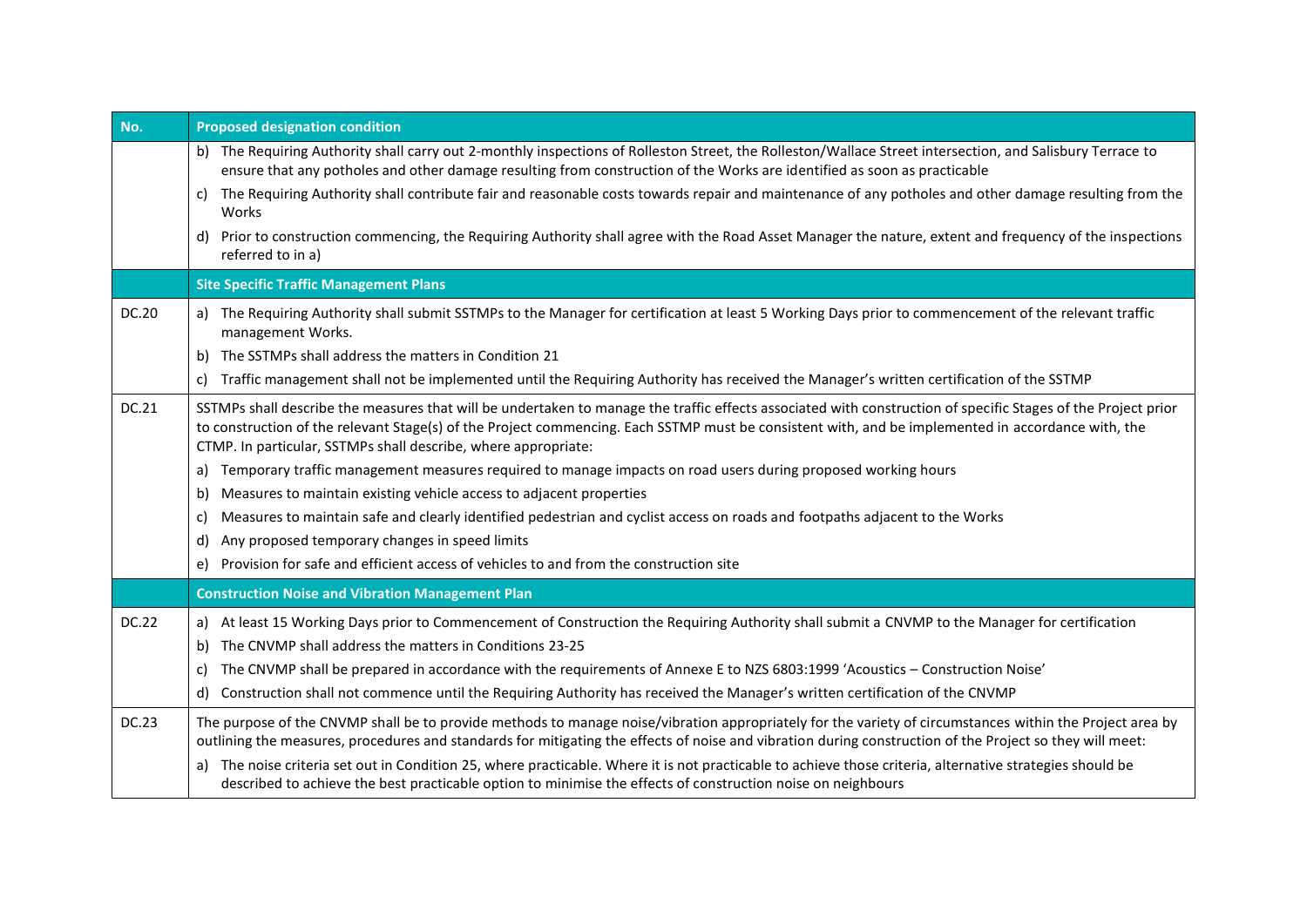| No.          | <b>Proposed designation condition</b>                                                                                                                                                                                                                                                                                                                                                 |  |  |  |  |  |  |
|--------------|---------------------------------------------------------------------------------------------------------------------------------------------------------------------------------------------------------------------------------------------------------------------------------------------------------------------------------------------------------------------------------------|--|--|--|--|--|--|
|              | b) The Requiring Authority shall carry out 2-monthly inspections of Rolleston Street, the Rolleston/Wallace Street intersection, and Salisbury Terrace to<br>ensure that any potholes and other damage resulting from construction of the Works are identified as soon as practicable                                                                                                 |  |  |  |  |  |  |
|              | The Requiring Authority shall contribute fair and reasonable costs towards repair and maintenance of any potholes and other damage resulting from the<br>C)<br>Works                                                                                                                                                                                                                  |  |  |  |  |  |  |
|              | Prior to construction commencing, the Requiring Authority shall agree with the Road Asset Manager the nature, extent and frequency of the inspections<br>d)<br>referred to in a)                                                                                                                                                                                                      |  |  |  |  |  |  |
|              | <b>Site Specific Traffic Management Plans</b>                                                                                                                                                                                                                                                                                                                                         |  |  |  |  |  |  |
| DC.20        | a) The Requiring Authority shall submit SSTMPs to the Manager for certification at least 5 Working Days prior to commencement of the relevant traffic<br>management Works.                                                                                                                                                                                                            |  |  |  |  |  |  |
|              | The SSTMPs shall address the matters in Condition 21<br>b)                                                                                                                                                                                                                                                                                                                            |  |  |  |  |  |  |
|              | Traffic management shall not be implemented until the Requiring Authority has received the Manager's written certification of the SSTMP<br>C)                                                                                                                                                                                                                                         |  |  |  |  |  |  |
| DC.21        | SSTMPs shall describe the measures that will be undertaken to manage the traffic effects associated with construction of specific Stages of the Project prior<br>to construction of the relevant Stage(s) of the Project commencing. Each SSTMP must be consistent with, and be implemented in accordance with, the<br>CTMP. In particular, SSTMPs shall describe, where appropriate: |  |  |  |  |  |  |
|              | Temporary traffic management measures required to manage impacts on road users during proposed working hours<br>a)                                                                                                                                                                                                                                                                    |  |  |  |  |  |  |
|              | Measures to maintain existing vehicle access to adjacent properties<br>b)                                                                                                                                                                                                                                                                                                             |  |  |  |  |  |  |
|              | Measures to maintain safe and clearly identified pedestrian and cyclist access on roads and footpaths adjacent to the Works<br>C)                                                                                                                                                                                                                                                     |  |  |  |  |  |  |
|              | Any proposed temporary changes in speed limits<br>d)                                                                                                                                                                                                                                                                                                                                  |  |  |  |  |  |  |
|              | Provision for safe and efficient access of vehicles to and from the construction site<br>e)                                                                                                                                                                                                                                                                                           |  |  |  |  |  |  |
|              | <b>Construction Noise and Vibration Management Plan</b>                                                                                                                                                                                                                                                                                                                               |  |  |  |  |  |  |
| <b>DC.22</b> | a) At least 15 Working Days prior to Commencement of Construction the Requiring Authority shall submit a CNVMP to the Manager for certification                                                                                                                                                                                                                                       |  |  |  |  |  |  |
|              | The CNVMP shall address the matters in Conditions 23-25<br>b)                                                                                                                                                                                                                                                                                                                         |  |  |  |  |  |  |
|              | The CNVMP shall be prepared in accordance with the requirements of Annexe E to NZS 6803:1999 'Acoustics - Construction Noise'<br>C)                                                                                                                                                                                                                                                   |  |  |  |  |  |  |
|              | Construction shall not commence until the Requiring Authority has received the Manager's written certification of the CNVMP<br>d)                                                                                                                                                                                                                                                     |  |  |  |  |  |  |
| <b>DC.23</b> | The purpose of the CNVMP shall be to provide methods to manage noise/vibration appropriately for the variety of circumstances within the Project area by<br>outlining the measures, procedures and standards for mitigating the effects of noise and vibration during construction of the Project so they will meet:                                                                  |  |  |  |  |  |  |
|              | The noise criteria set out in Condition 25, where practicable. Where it is not practicable to achieve those criteria, alternative strategies should be<br>a)<br>described to achieve the best practicable option to minimise the effects of construction noise on neighbours                                                                                                          |  |  |  |  |  |  |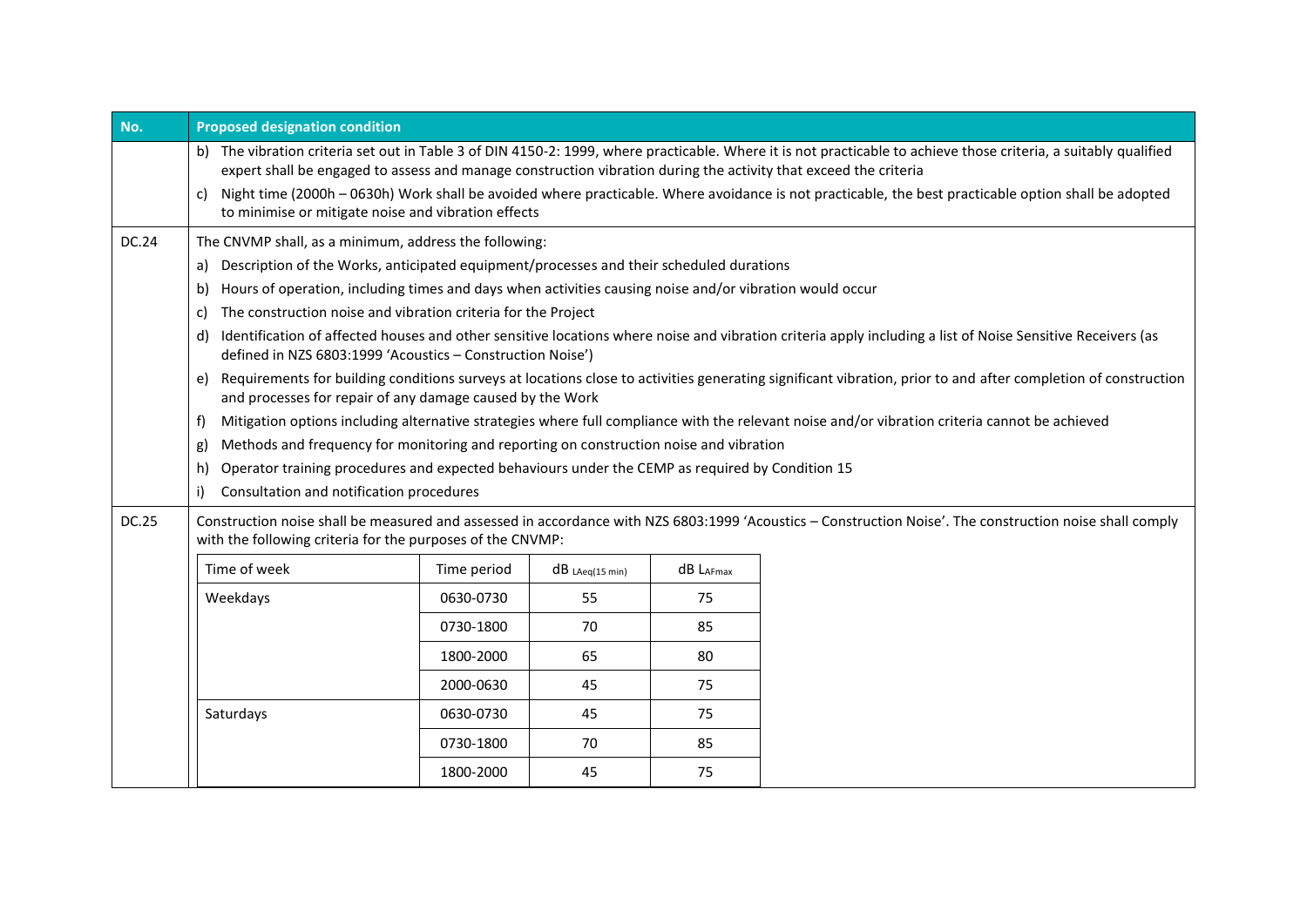| No.          | <b>Proposed designation condition</b>                                                                                                                                                                                                                                                                                                                                                                                                                                                                     |                                                                                                                                                                                                                            |                   |           |                                                                                                                                                            |  |  |
|--------------|-----------------------------------------------------------------------------------------------------------------------------------------------------------------------------------------------------------------------------------------------------------------------------------------------------------------------------------------------------------------------------------------------------------------------------------------------------------------------------------------------------------|----------------------------------------------------------------------------------------------------------------------------------------------------------------------------------------------------------------------------|-------------------|-----------|------------------------------------------------------------------------------------------------------------------------------------------------------------|--|--|
|              | b) The vibration criteria set out in Table 3 of DIN 4150-2: 1999, where practicable. Where it is not practicable to achieve those criteria, a suitably qualified<br>expert shall be engaged to assess and manage construction vibration during the activity that exceed the criteria<br>Night time (2000h - 0630h) Work shall be avoided where practicable. Where avoidance is not practicable, the best practicable option shall be adopted<br>C)<br>to minimise or mitigate noise and vibration effects |                                                                                                                                                                                                                            |                   |           |                                                                                                                                                            |  |  |
| DC.24        | The CNVMP shall, as a minimum, address the following:                                                                                                                                                                                                                                                                                                                                                                                                                                                     |                                                                                                                                                                                                                            |                   |           |                                                                                                                                                            |  |  |
|              | Description of the Works, anticipated equipment/processes and their scheduled durations<br>a)                                                                                                                                                                                                                                                                                                                                                                                                             |                                                                                                                                                                                                                            |                   |           |                                                                                                                                                            |  |  |
|              | Hours of operation, including times and days when activities causing noise and/or vibration would occur<br>b)                                                                                                                                                                                                                                                                                                                                                                                             |                                                                                                                                                                                                                            |                   |           |                                                                                                                                                            |  |  |
|              | The construction noise and vibration criteria for the Project<br>C)                                                                                                                                                                                                                                                                                                                                                                                                                                       |                                                                                                                                                                                                                            |                   |           |                                                                                                                                                            |  |  |
|              | d)<br>defined in NZS 6803:1999 'Acoustics - Construction Noise')                                                                                                                                                                                                                                                                                                                                                                                                                                          |                                                                                                                                                                                                                            |                   |           | Identification of affected houses and other sensitive locations where noise and vibration criteria apply including a list of Noise Sensitive Receivers (as |  |  |
|              | e)                                                                                                                                                                                                                                                                                                                                                                                                                                                                                                        | Requirements for building conditions surveys at locations close to activities generating significant vibration, prior to and after completion of construction<br>and processes for repair of any damage caused by the Work |                   |           |                                                                                                                                                            |  |  |
|              | f)                                                                                                                                                                                                                                                                                                                                                                                                                                                                                                        | Mitigation options including alternative strategies where full compliance with the relevant noise and/or vibration criteria cannot be achieved                                                                             |                   |           |                                                                                                                                                            |  |  |
|              | Methods and frequency for monitoring and reporting on construction noise and vibration<br>g)                                                                                                                                                                                                                                                                                                                                                                                                              |                                                                                                                                                                                                                            |                   |           |                                                                                                                                                            |  |  |
|              | Operator training procedures and expected behaviours under the CEMP as required by Condition 15<br>h)                                                                                                                                                                                                                                                                                                                                                                                                     |                                                                                                                                                                                                                            |                   |           |                                                                                                                                                            |  |  |
|              | i)<br>Consultation and notification procedures                                                                                                                                                                                                                                                                                                                                                                                                                                                            |                                                                                                                                                                                                                            |                   |           |                                                                                                                                                            |  |  |
| <b>DC.25</b> | Construction noise shall be measured and assessed in accordance with NZS 6803:1999 'Acoustics - Construction Noise'. The construction noise shall comply<br>with the following criteria for the purposes of the CNVMP:                                                                                                                                                                                                                                                                                    |                                                                                                                                                                                                                            |                   |           |                                                                                                                                                            |  |  |
|              | Time of week                                                                                                                                                                                                                                                                                                                                                                                                                                                                                              | Time period                                                                                                                                                                                                                | $dB$ LAeg(15 min) | dB LAFmax |                                                                                                                                                            |  |  |
|              | Weekdays                                                                                                                                                                                                                                                                                                                                                                                                                                                                                                  | 0630-0730                                                                                                                                                                                                                  | 55                | 75        |                                                                                                                                                            |  |  |
|              |                                                                                                                                                                                                                                                                                                                                                                                                                                                                                                           | 0730-1800                                                                                                                                                                                                                  | 70                | 85        |                                                                                                                                                            |  |  |
|              |                                                                                                                                                                                                                                                                                                                                                                                                                                                                                                           | 1800-2000                                                                                                                                                                                                                  | 65                | 80        |                                                                                                                                                            |  |  |
|              |                                                                                                                                                                                                                                                                                                                                                                                                                                                                                                           | 2000-0630                                                                                                                                                                                                                  | 45                | 75        |                                                                                                                                                            |  |  |
|              | Saturdays                                                                                                                                                                                                                                                                                                                                                                                                                                                                                                 | 0630-0730                                                                                                                                                                                                                  | 45                | 75        |                                                                                                                                                            |  |  |
|              |                                                                                                                                                                                                                                                                                                                                                                                                                                                                                                           | 0730-1800                                                                                                                                                                                                                  | 70                | 85        |                                                                                                                                                            |  |  |
|              |                                                                                                                                                                                                                                                                                                                                                                                                                                                                                                           | 1800-2000                                                                                                                                                                                                                  | 45                | 75        |                                                                                                                                                            |  |  |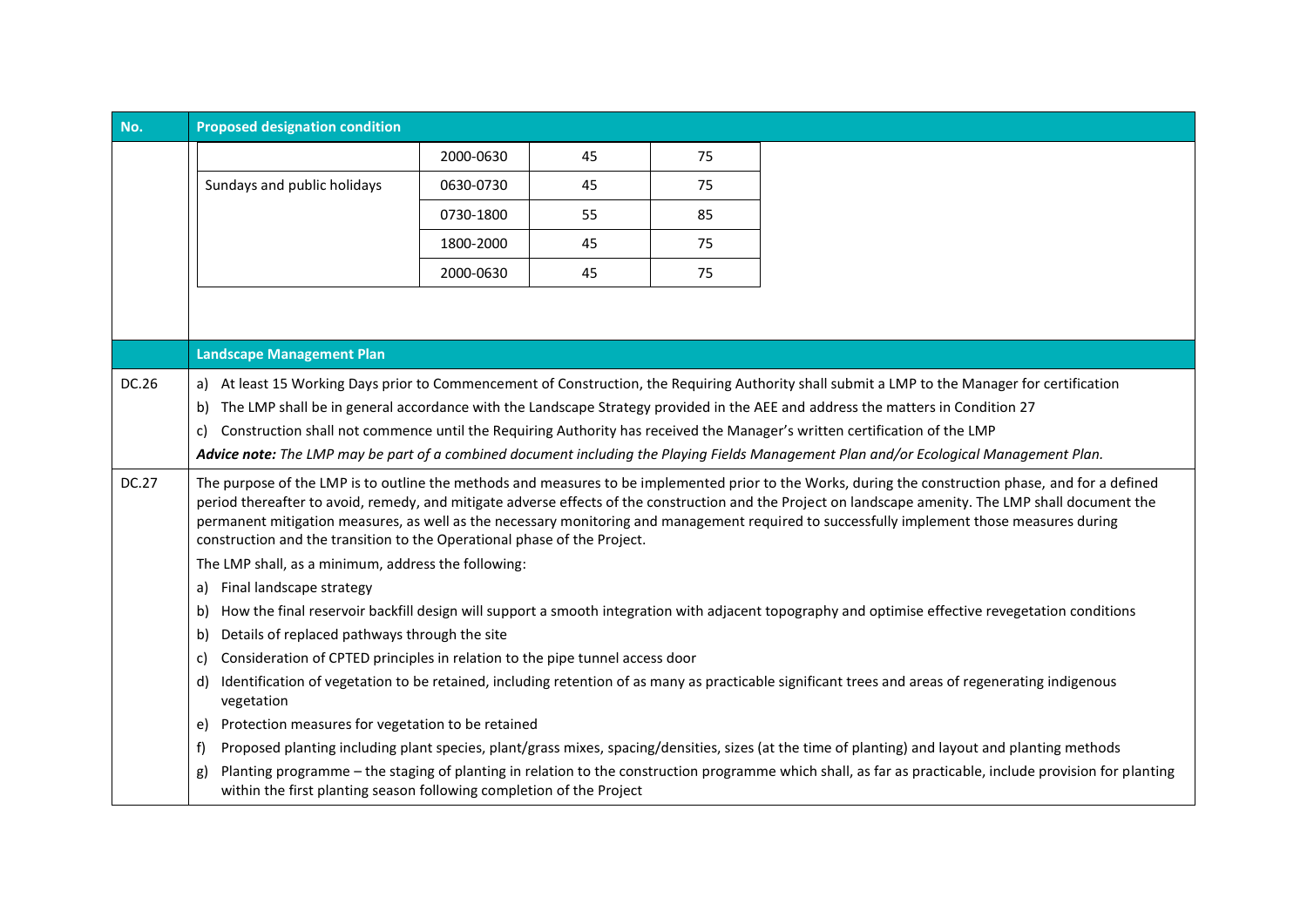| No.          | <b>Proposed designation condition</b>                                                                                                                                                                                                                                                                                                                                                                                                                                                                                                   |           |    |    |                                                                                                                                                  |  |
|--------------|-----------------------------------------------------------------------------------------------------------------------------------------------------------------------------------------------------------------------------------------------------------------------------------------------------------------------------------------------------------------------------------------------------------------------------------------------------------------------------------------------------------------------------------------|-----------|----|----|--------------------------------------------------------------------------------------------------------------------------------------------------|--|
|              |                                                                                                                                                                                                                                                                                                                                                                                                                                                                                                                                         | 2000-0630 | 45 | 75 |                                                                                                                                                  |  |
|              | Sundays and public holidays                                                                                                                                                                                                                                                                                                                                                                                                                                                                                                             | 0630-0730 | 45 | 75 |                                                                                                                                                  |  |
|              |                                                                                                                                                                                                                                                                                                                                                                                                                                                                                                                                         | 0730-1800 | 55 | 85 |                                                                                                                                                  |  |
|              |                                                                                                                                                                                                                                                                                                                                                                                                                                                                                                                                         | 1800-2000 | 45 | 75 |                                                                                                                                                  |  |
|              |                                                                                                                                                                                                                                                                                                                                                                                                                                                                                                                                         | 2000-0630 | 45 | 75 |                                                                                                                                                  |  |
|              |                                                                                                                                                                                                                                                                                                                                                                                                                                                                                                                                         |           |    |    |                                                                                                                                                  |  |
|              |                                                                                                                                                                                                                                                                                                                                                                                                                                                                                                                                         |           |    |    |                                                                                                                                                  |  |
|              | <b>Landscape Management Plan</b>                                                                                                                                                                                                                                                                                                                                                                                                                                                                                                        |           |    |    |                                                                                                                                                  |  |
|              |                                                                                                                                                                                                                                                                                                                                                                                                                                                                                                                                         |           |    |    |                                                                                                                                                  |  |
| DC.26        | a)                                                                                                                                                                                                                                                                                                                                                                                                                                                                                                                                      |           |    |    | At least 15 Working Days prior to Commencement of Construction, the Requiring Authority shall submit a LMP to the Manager for certification      |  |
|              | b)                                                                                                                                                                                                                                                                                                                                                                                                                                                                                                                                      |           |    |    | The LMP shall be in general accordance with the Landscape Strategy provided in the AEE and address the matters in Condition 27                   |  |
|              | Construction shall not commence until the Requiring Authority has received the Manager's written certification of the LMP<br>C)                                                                                                                                                                                                                                                                                                                                                                                                         |           |    |    |                                                                                                                                                  |  |
|              |                                                                                                                                                                                                                                                                                                                                                                                                                                                                                                                                         |           |    |    | Advice note: The LMP may be part of a combined document including the Playing Fields Management Plan and/or Ecological Management Plan.          |  |
| <b>DC.27</b> | The purpose of the LMP is to outline the methods and measures to be implemented prior to the Works, during the construction phase, and for a defined<br>period thereafter to avoid, remedy, and mitigate adverse effects of the construction and the Project on landscape amenity. The LMP shall document the<br>permanent mitigation measures, as well as the necessary monitoring and management required to successfully implement those measures during<br>construction and the transition to the Operational phase of the Project. |           |    |    |                                                                                                                                                  |  |
|              | The LMP shall, as a minimum, address the following:                                                                                                                                                                                                                                                                                                                                                                                                                                                                                     |           |    |    |                                                                                                                                                  |  |
|              | Final landscape strategy<br>a)                                                                                                                                                                                                                                                                                                                                                                                                                                                                                                          |           |    |    |                                                                                                                                                  |  |
|              | How the final reservoir backfill design will support a smooth integration with adjacent topography and optimise effective revegetation conditions<br>b)                                                                                                                                                                                                                                                                                                                                                                                 |           |    |    |                                                                                                                                                  |  |
|              | Details of replaced pathways through the site<br>b)                                                                                                                                                                                                                                                                                                                                                                                                                                                                                     |           |    |    |                                                                                                                                                  |  |
|              | Consideration of CPTED principles in relation to the pipe tunnel access door<br>C)                                                                                                                                                                                                                                                                                                                                                                                                                                                      |           |    |    |                                                                                                                                                  |  |
|              | Identification of vegetation to be retained, including retention of as many as practicable significant trees and areas of regenerating indigenous<br>d)<br>vegetation                                                                                                                                                                                                                                                                                                                                                                   |           |    |    |                                                                                                                                                  |  |
|              | Protection measures for vegetation to be retained<br>e)                                                                                                                                                                                                                                                                                                                                                                                                                                                                                 |           |    |    |                                                                                                                                                  |  |
|              | f)                                                                                                                                                                                                                                                                                                                                                                                                                                                                                                                                      |           |    |    | Proposed planting including plant species, plant/grass mixes, spacing/densities, sizes (at the time of planting) and layout and planting methods |  |
|              | Planting programme - the staging of planting in relation to the construction programme which shall, as far as practicable, include provision for planting<br>g)<br>within the first planting season following completion of the Project                                                                                                                                                                                                                                                                                                 |           |    |    |                                                                                                                                                  |  |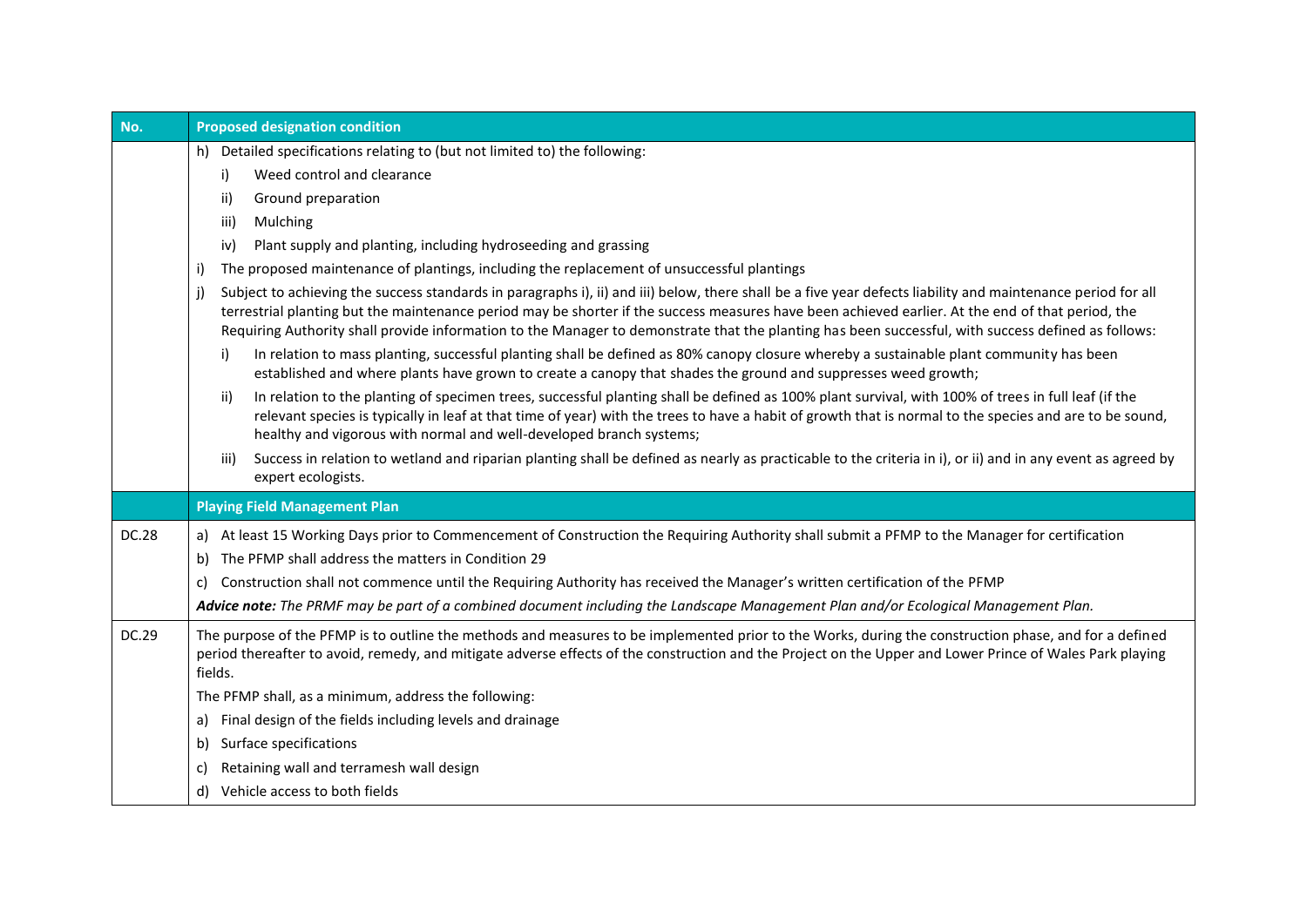| No.          | <b>Proposed designation condition</b>                                                                                                                                                                                                                                                                                                                                                                                                                                          |  |  |  |  |  |
|--------------|--------------------------------------------------------------------------------------------------------------------------------------------------------------------------------------------------------------------------------------------------------------------------------------------------------------------------------------------------------------------------------------------------------------------------------------------------------------------------------|--|--|--|--|--|
|              | h) Detailed specifications relating to (but not limited to) the following:                                                                                                                                                                                                                                                                                                                                                                                                     |  |  |  |  |  |
|              | Weed control and clearance<br>i)                                                                                                                                                                                                                                                                                                                                                                                                                                               |  |  |  |  |  |
|              | Ground preparation<br>ii)                                                                                                                                                                                                                                                                                                                                                                                                                                                      |  |  |  |  |  |
|              | Mulching<br>iii)                                                                                                                                                                                                                                                                                                                                                                                                                                                               |  |  |  |  |  |
|              | Plant supply and planting, including hydroseeding and grassing<br>iv)                                                                                                                                                                                                                                                                                                                                                                                                          |  |  |  |  |  |
|              | The proposed maintenance of plantings, including the replacement of unsuccessful plantings<br>i)                                                                                                                                                                                                                                                                                                                                                                               |  |  |  |  |  |
|              | Subject to achieving the success standards in paragraphs i), ii) and iii) below, there shall be a five year defects liability and maintenance period for all<br>j)<br>terrestrial planting but the maintenance period may be shorter if the success measures have been achieved earlier. At the end of that period, the<br>Requiring Authority shall provide information to the Manager to demonstrate that the planting has been successful, with success defined as follows: |  |  |  |  |  |
|              | In relation to mass planting, successful planting shall be defined as 80% canopy closure whereby a sustainable plant community has been<br>i)<br>established and where plants have grown to create a canopy that shades the ground and suppresses weed growth;                                                                                                                                                                                                                 |  |  |  |  |  |
|              | In relation to the planting of specimen trees, successful planting shall be defined as 100% plant survival, with 100% of trees in full leaf (if the<br>ii)<br>relevant species is typically in leaf at that time of year) with the trees to have a habit of growth that is normal to the species and are to be sound,<br>healthy and vigorous with normal and well-developed branch systems;                                                                                   |  |  |  |  |  |
|              | Success in relation to wetland and riparian planting shall be defined as nearly as practicable to the criteria in i), or ii) and in any event as agreed by<br>iii)<br>expert ecologists.                                                                                                                                                                                                                                                                                       |  |  |  |  |  |
|              | <b>Playing Field Management Plan</b>                                                                                                                                                                                                                                                                                                                                                                                                                                           |  |  |  |  |  |
| <b>DC.28</b> | a) At least 15 Working Days prior to Commencement of Construction the Requiring Authority shall submit a PFMP to the Manager for certification                                                                                                                                                                                                                                                                                                                                 |  |  |  |  |  |
|              | The PFMP shall address the matters in Condition 29<br>b)                                                                                                                                                                                                                                                                                                                                                                                                                       |  |  |  |  |  |
|              | Construction shall not commence until the Requiring Authority has received the Manager's written certification of the PFMP<br>C)                                                                                                                                                                                                                                                                                                                                               |  |  |  |  |  |
|              | Advice note: The PRMF may be part of a combined document including the Landscape Management Plan and/or Ecological Management Plan.                                                                                                                                                                                                                                                                                                                                            |  |  |  |  |  |
| DC.29        | The purpose of the PFMP is to outline the methods and measures to be implemented prior to the Works, during the construction phase, and for a defined<br>period thereafter to avoid, remedy, and mitigate adverse effects of the construction and the Project on the Upper and Lower Prince of Wales Park playing<br>fields.                                                                                                                                                   |  |  |  |  |  |
|              | The PFMP shall, as a minimum, address the following:                                                                                                                                                                                                                                                                                                                                                                                                                           |  |  |  |  |  |
|              | Final design of the fields including levels and drainage<br>a)                                                                                                                                                                                                                                                                                                                                                                                                                 |  |  |  |  |  |
|              | Surface specifications<br>b)                                                                                                                                                                                                                                                                                                                                                                                                                                                   |  |  |  |  |  |
|              | Retaining wall and terramesh wall design<br>C)                                                                                                                                                                                                                                                                                                                                                                                                                                 |  |  |  |  |  |
|              | Vehicle access to both fields<br>d)                                                                                                                                                                                                                                                                                                                                                                                                                                            |  |  |  |  |  |